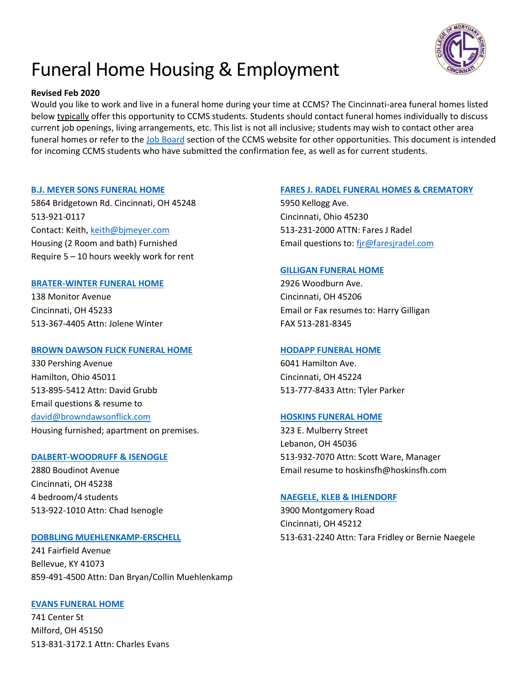

# Funeral Home Housing & Employment

# **Revised Feb 2020**

Would you like to work and live in a funeral home during your time at CCMS? The Cincinnati-area funeral homes listed below typically offer this opportunity to CCMS students. Students should contact funeral homes individually to discuss current job openings, living arrangements, etc. This list is not all inclusive; students may wish to contact other area funeral homes or refer to the [Job Board](https://www.ccms.edu/job-board/) section of the CCMS website for other opportunities. This document is intended for incoming CCMS students who have submitted the confirmation fee, as well as for current students.

### **[B.J. MEYER SONS FUNERAL HOME](https://www.bjmeyersons.com/)**

5864 Bridgetown Rd. Cincinnati, OH 45248 513-921-0117 Contact: Keith[, keith@bjmeyer.com](mailto:keith@bjmeyer.com) Housing (2 Room and bath) Furnished Require 5 – 10 hours weekly work for rent

# **[BRATER-WINTER FUNERAL HOME](http://www.braterfuneralhome.com/)**

138 Monitor Avenue Cincinnati, OH 45233 513-367-4405 Attn: Jolene Winter

# **[BROWN DAWSON FLICK FUNERAL HOME](http://browndawsonflick.com/)**

330 Pershing Avenue Hamilton, Ohio 45011 513-895-5412 Attn: David Grubb Email questions & resume to [david@browndawsonflick.com](mailto:david@browndawsonflick.com) Housing furnished; apartment on premises.

#### **[DALBERT-WOODRUFF & ISENOGLE](http://www.dwifuneralhome.com/)**

2880 Boudinot Avenue Cincinnati, OH 45238 4 bedroom/4 students 513-922-1010 Attn: Chad Isenogle

# **[DOBBLING MUEHLENKAMP-ERSCHELL](http://www.dmefuneral.com/index.shtml)**

241 Fairfield Avenue Bellevue, KY 41073 859-491-4500 Attn: Dan Bryan/Collin Muehlenkamp

# **[EVANS FUNERAL HOME](http://www.evansfuneralhome.com/)**

741 Center St Milford, OH 45150 513-831-3172.1 Attn: Charles Evans

# **[FARES J. RADEL FUNERAL HOMES & CREMATORY](http://faresjradel.com/)**

5950 Kellogg Ave. Cincinnati, Ohio 45230 513-231-2000 ATTN: Fares J Radel Email questions to: [fjr@faresjradel.com](mailto:fjr@faresjradel.com)

### **[GILLIGAN FUNERAL HOME](http://www.gilliganfuneralhomes.com/)**

2926 Woodburn Ave. Cincinnati, OH 45206 Email or Fax resumes to: Harry Gilligan FAX 513-281-8345

#### **[HODAPP FUNERAL HOME](http://www.hodappfuneralhome.com/)**

6041 Hamilton Ave. Cincinnati, OH 45224 513-777-8433 Attn: Tyler Parker

# **[HOSKINS FUNERAL HOME](http://www.hoskinsfh.com/home/index.cfm?fh_id=13201)**

323 E. Mulberry Street Lebanon, OH 45036 513-932-7070 Attn: Scott Ware, Manager Email resume to hoskinsfh@hoskinsfh.com

# **[NAEGELE, KLEB & IHLENDORF](http://www.naegelefuneralhome.com/)**

3900 Montgomery Road Cincinnati, OH 45212 513-631-2240 Attn: Tara Fridley or Bernie Naegele